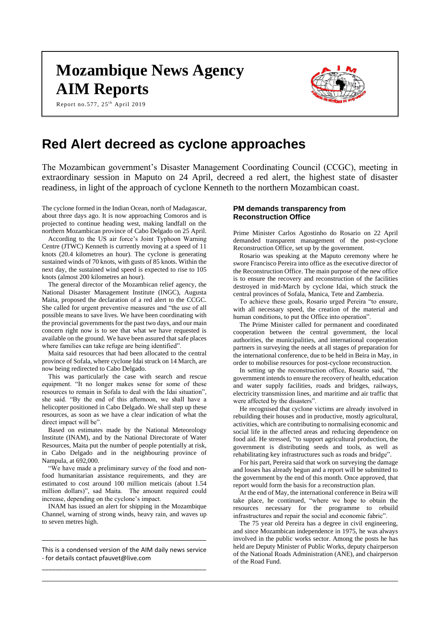# **Mozambique News Agency AIM Reports**

Report no.577, 25<sup>th</sup> April 2019



## **Red Alert decreed as cyclone approaches**

The Mozambican government's Disaster Management Coordinating Council (CCGC), meeting in extraordinary session in Maputo on 24 April, decreed a red alert, the highest state of disaster readiness, in light of the approach of cyclone Kenneth to the northern Mozambican coast.

The cyclone formed in the Indian Ocean, north of Madagascar, about three days ago. It is now approaching Comoros and is projected to continue heading west, making landfall on the northern Mozambican province of Cabo Delgado on 25 April.

According to the US air force's Joint Typhoon Warning Centre (JTWC) Kenneth is currently moving at a speed of 11 knots (20.4 kilometres an hour). The cyclone is generating sustained winds of 70 knots, with gusts of 85 knots. Within the next day, the sustained wind speed is expected to rise to 105 knots (almost 200 kilometres an hour).

The general director of the Mozambican relief agency, the National Disaster Management Institute (INGC), Augusta Maita, proposed the declaration of a red alert to the CCGC. She called for urgent preventive measures and "the use of all possible means to save lives. We have been coordinating with the provincial governments for the past two days, and our main concern right now is to see that what we have requested is available on the ground. We have been assured that safe places where families can take refuge are being identified".

Maita said resources that had been allocated to the central province of Sofala, where cyclone Idai struck on 14 March, are now being redirected to Cabo Delgado.

This was particularly the case with search and rescue equipment. "It no longer makes sense for some of these resources to remain in Sofala to deal with the Idai situation", she said. "By the end of this afternoon, we shall have a helicopter positioned in Cabo Delgado. We shall step up these resources, as soon as we have a clear indication of what the direct impact will be".

Based on estimates made by the National Meteorology Institute (INAM), and by the National Directorate of Water Resources, Maita put the number of people potentially at risk, in Cabo Delgado and in the neighbouring province of Nampula, at 692,000.

"We have made a preliminary survey of the food and nonfood humanitarian assistance requirements, and they are estimated to cost around 100 million meticais (about 1.54 million dollars)", sad Maita. The amount required could increase, depending on the cyclone's impact.

INAM has issued an alert for shipping in the Mozambique Channel, warning of strong winds, heavy rain, and waves up to seven metres high.

This is a condensed version of the AIM daily news service - for details contact pfauvet@live.com \_\_\_\_\_\_\_\_\_\_\_\_\_\_\_\_\_\_\_\_\_\_\_\_\_\_\_\_\_\_\_\_\_\_\_\_\_\_\_\_\_\_\_\_\_\_\_

\_\_\_\_\_\_\_\_\_\_\_\_\_\_\_\_\_\_\_\_\_\_\_\_\_\_\_\_\_\_\_\_\_\_\_\_\_\_\_\_\_\_\_\_\_\_\_

#### **PM demands transparency from Reconstruction Office**

Prime Minister Carlos Agostinho do Rosario on 22 April demanded transparent management of the post-cyclone Reconstruction Office, set up by the government.

Rosario was speaking at the Maputo ceremony where he swore Francisco Pereira into office as the executive director of the Reconstruction Office. The main purpose of the new office is to ensure the recovery and reconstruction of the facilities destroyed in mid-March by cyclone Idai, which struck the central provinces of Sofala, Manica, Tete and Zambezia.

To achieve these goals, Rosario urged Pereira "to ensure, with all necessary speed, the creation of the material and human conditions, to put the Office into operation".

The Prime Minister called for permanent and coordinated cooperation between the central government, the local authorities, the municipalities, and international cooperation partners in surveying the needs at all stages of preparation for the international conference, due to be held in Beira in May, in order to mobilise resources for post-cyclone reconstruction.

In setting up the reconstruction office, Rosario said, "the government intends to ensure the recovery of health, education and water supply facilities, roads and bridges, railways, electricity transmission lines, and maritime and air traffic that were affected by the disasters".

He recognised that cyclone victims are already involved in rebuilding their houses and in productive, mostly agricultural, activities, which are contributing to normalising economic and social life in the affected areas and reducing dependence on food aid. He stressed, "to support agricultural production, the government is distributing seeds and tools, as well as rehabilitating key infrastructures such as roads and bridge".

For his part, Pereira said that work on surveying the damage and losses has already begun and a report will be submitted to the government by the end of this month. Once approved, that report would form the basis for a reconstruction plan.

At the end of May, the international conference in Beira will take place, he continued, "where we hope to obtain the resources necessary for the programme to rebuild infrastructures and repair the social and economic fabric".

The 75 year old Pereira has a degree in civil engineering, and since Mozambican independence in 1975, he was always involved in the public works sector. Among the posts he has held are Deputy Minister of Public Works, deputy chairperson of the National Roads Administration (ANE), and chairperson of the Road Fund.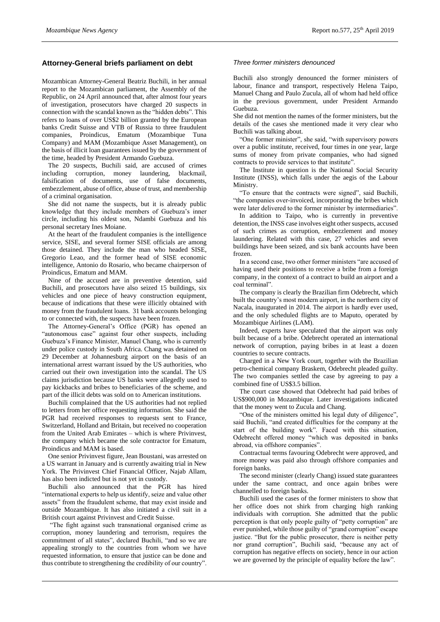#### **Attorney-General briefs parliament on debt**

Mozambican Attorney-General Beatriz Buchili, in her annual report to the Mozambican parliament, the Assembly of the Republic, on 24 April announced that, after almost four years of investigation, prosecutors have charged 20 suspects in connection with the scandal known as the "hidden debts". This refers to loans of over US\$2 billion granted by the European banks Credit Suisse and VTB of Russia to three fraudulent companies, Proindicus, Ematum (Mozambique Tuna Company) and MAM (Mozambique Asset Management), on the basis of illicit loan guarantees issued by the government of the time, headed by President Armando Guebuza.

The 20 suspects, Buchili said, are accused of crimes including corruption, money laundering, blackmail, falsification of documents, use of false documents, embezzlement, abuse of office, abuse of trust, and membership of a criminal organisation.

She did not name the suspects, but it is already public knowledge that they include members of Guebuza's inner circle, including his oldest son, Ndambi Guebuza and his personal secretary Ines Moiane.

At the heart of the fraudulent companies is the intelligence service, SISE, and several former SISE officials are among those detained. They include the man who headed SISE, Gregorio Leao, and the former head of SISE economic intelligence, Antonio do Rosario, who became chairperson of Proindicus, Ematum and MAM.

Nine of the accused are in preventive detention, said Buchili, and prosecutors have also seized 15 buildings, six vehicles and one piece of heavy construction equipment, because of indications that these were illicitly obtained with money from the fraudulent loans. 31 bank accounts belonging to or connected with, the suspects have been frozen.

The Attorney-General's Office (PGR) has opened an "autonomous case" against four other suspects, including Guebuza's Finance Minister, Manuel Chang, who is currently under police custody in South Africa. Chang was detained on 29 December at Johannesburg airport on the basis of an international arrest warrant issued by the US authorities, who carried out their own investigation into the scandal. The US claims jurisdiction because US banks were allegedly used to pay kickbacks and bribes to beneficiaries of the scheme, and part of the illicit debts was sold on to American institutions.

Buchili complained that the US authorities had not replied to letters from her office requesting information. She said the PGR had received responses to requests sent to France, Switzerland, Holland and Britain, but received no cooperation from the United Arab Emirates – which is where Privinvest, the company which became the sole contractor for Ematum, Proindicus and MAM is based.

One senior Privinvest figure, Jean Boustani, was arrested on a US warrant in January and is currently awaiting trial in New York. The Privinvest Chief Financial Officer, Najab Allam, has also been indicted but is not yet in custody.

Buchili also announced that the PGR has hired "international experts to help us identify, seize and value other assets" from the fraudulent scheme, that may exist inside and outside Mozambique. It has also initiated a civil suit in a British court against Privinvest and Credit Suisse.

"The fight against such transnational organised crime as corruption, money laundering and terrorism, requires the commitment of all states", declared Buchili, "and so we are appealing strongly to the countries from whom we have requested information, to ensure that justice can be done and thus contribute to strengthening the credibility of our country".

#### *Three former ministers denounced*

Buchili also strongly denounced the former ministers of labour, finance and transport, respectively Helena Taipo, Manuel Chang and Paulo Zucula, all of whom had held office in the previous government, under President Armando Guebuza.

She did not mention the names of the former ministers, but the details of the cases she mentioned made it very clear who Buchili was talking about.

"One former minister", she said, "with supervisory powers over a public institute, received, four times in one year, large sums of money from private companies, who had signed contracts to provide services to that institute".

The Institute in question is the National Social Security Institute (INSS), which falls under the aegis of the Labour Ministry.

"To ensure that the contracts were signed", said Buchili, "the companies over-invoiced, incorporating the bribes which were later delivered to the former minister by intermediaries".

In addition to Taipo, who is currently in preventive detention, the INSS case involves eight other suspects, accused of such crimes as corruption, embezzlement and money laundering. Related with this case, 27 vehicles and seven buildings have been seized, and six bank accounts have been frozen.

In a second case, two other former ministers "are accused of having used their positions to receive a bribe from a foreign company, in the context of a contract to build an airport and a coal terminal".

The company is clearly the Brazilian firm Odebrecht, which built the country's most modern airport, in the northern city of Nacala, inaugurated in 2014. The airport is hardly ever used, and the only scheduled flights are to Maputo, operated by Mozambique Airlines (LAM).

Indeed, experts have speculated that the airport was only built because of a bribe. Odebrecht operated an international network of corruption, paying bribes in at least a dozen countries to secure contracts.

Charged in a New York court, together with the Brazilian petro-chemical company Braskem, Odebrecht pleaded guilty. The two companies settled the case by agreeing to pay a combined fine of US\$3.5 billion.

The court case showed that Odebrecht had paid bribes of US\$900,000 in Mozambique. Later investigations indicated that the money went to Zucula and Chang.

"One of the ministers omitted his legal duty of diligence", said Buchili, "and created difficulties for the company at the start of the building work". Faced with this situation, Odebrecht offered money "which was deposited in banks abroad, via offshore companies".

Contractual terms favouring Odebrecht were approved, and more money was paid also through offshore companies and foreign banks.

The second minister (clearly Chang) issued state guarantees under the same contract, and once again bribes were channelled to foreign banks.

Buchili used the cases of the former ministers to show that her office does not shirk from charging high ranking individuals with corruption. She admitted that the public perception is that only people guilty of "petty corruption" are ever punished, while those guilty of "grand corruption" escape justice. "But for the public prosecutor, there is neither petty nor grand corruption", Buchili said, "because any act of corruption has negative effects on society, hence in our action we are governed by the principle of equality before the law".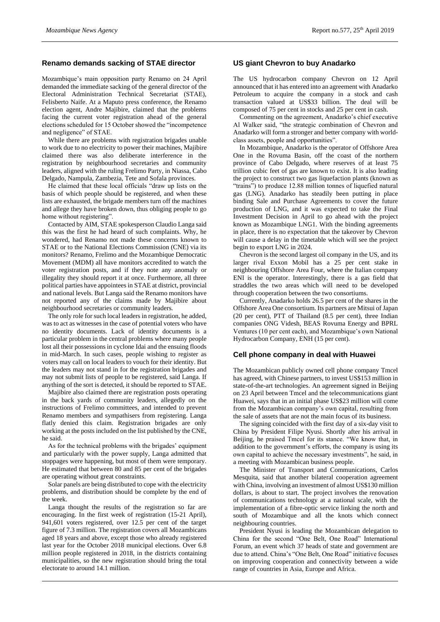### **Renamo demands sacking of STAE director**

Mozambique's main opposition party Renamo on 24 April demanded the immediate sacking of the general director of the Electoral Administration Technical Secretariat (STAE), Felisberto Naife. At a Maputo press conference, the Renamo election agent, Andre Majibire, claimed that the problems facing the current voter registration ahead of the general elections scheduled for 15 October showed the "incompetence and negligence" of STAE.

While there are problems with registration brigades unable to work due to no electricity to power their machines, Majibire claimed there was also deliberate interference in the registration by neighbourhood secretaries and community leaders, aligned with the ruling Frelimo Party, in Niassa, Cabo Delgado, Nampula, Zambezia, Tete and Sofala provinces.

He claimed that these local officials "draw up lists on the basis of which people should be registered, and when these lists are exhausted, the brigade members turn off the machines and allege they have broken down, thus obliging people to go home without registering".

Contacted by AIM, STAE spokesperson Claudio Langa said this was the first he had heard of such complaints. Why, he wondered, had Renamo not made these concerns known to STAE or to the National Elections Commission (CNE) via its monitors? Renamo, Frelimo and the Mozambique Democratic Movement (MDM) all have monitors accredited to watch the voter registration posts, and if they note any anomaly or illegality they should report it at once. Furthermore, all three political parties have appointees in STAE at district, provincial and national levels. But Langa said the Renamo monitors have not reported any of the claims made by Majibire about neighbourhood secretaries or community leaders.

The only role for such local leaders in registration, he added, was to act as witnesses in the case of potential voters who have no identity documents. Lack of identity documents is a particular problem in the central problems where many people lost all their possessions in cyclone Idai and the ensuing floods in mid-March. In such cases, people wishing to register as voters may call on local leaders to vouch for their identity. But the leaders may not stand in for the registration brigades and may not submit lists of people to be registered, said Langa. If anything of the sort is detected, it should be reported to STAE.

Majibire also claimed there are registration posts operating in the back yards of community leaders, allegedly on the instructions of Frelimo committees, and intended to prevent Renamo members and sympathisers from registering. Langa flatly denied this claim. Registration brigades are only working at the posts included on the list published by the CNE, he said.

As for the technical problems with the brigades' equipment and particularly with the power supply, Langa admitted that stoppages were happening, but most of them were temporary. He estimated that between 80 and 85 per cent of the brigades are operating without great constraints.

Solar panels are being distributed to cope with the electricity problems, and distribution should be complete by the end of the week.

Langa thought the results of the registration so far are encouraging. In the first week of registration (15-21 April), 941,601 voters registered, over 12.5 per cent of the target figure of 7.3 million. The registration covers all Mozambicans aged 18 years and above, except those who already registered last year for the October 2018 municipal elections. Over 6.8 million people registered in 2018, in the districts containing municipalities, so the new registration should bring the total electorate to around 14.1 million.

#### **US giant Chevron to buy Anadarko**

The US hydrocarbon company Chevron on 12 April announced that it has entered into an agreement with Anadarko Petroleum to acquire the company in a stock and cash transaction valued at US\$33 billion. The deal will be composed of 75 per cent in stocks and 25 per cent in cash.

Commenting on the agreement, Anadarko's chief executive Al Walker said, "the strategic combination of Chevron and Anadarko will form a stronger and better company with worldclass assets, people and opportunities".

In Mozambique, Anadarko is the operator of Offshore Area One in the Rovuma Basin, off the coast of the northern province of Cabo Delgado, where reserves of at least 75 trillion cubic feet of gas are known to exist. It is also leading the project to construct two gas liquefaction plants (known as "trains") to produce 12.88 million tonnes of liquefied natural gas (LNG). Anadarko has steadily been putting in place binding Sale and Purchase Agreements to cover the future production of LNG, and it was expected to take the Final Investment Decision in April to go ahead with the project known as Mozambique LNG1. With the binding agreements in place, there is no expectation that the takeover by Chevron will cause a delay in the timetable which will see the project begin to export LNG in 2024.

Chevron is the second largest oil company in the US, and its larger rival Exxon Mobil has a 25 per cent stake in neighbouring Offshore Area Four, where the Italian company ENI is the operator. Interestingly, there is a gas field that straddles the two areas which will need to be developed through cooperation between the two consortiums.

Currently, Anadarko holds 26.5 per cent of the shares in the Offshore Area One consortium. Its partners are Mitsui of Japan (20 per cent), PTT of Thailand (8.5 per cent), three Indian companies ONG Videsh, BEAS Rovuma Energy and BPRL Ventures (10 per cent each), and Mozambique's own National Hydrocarbon Company, ENH (15 per cent).

#### **Cell phone company in deal with Huawei**

The Mozambican publicly owned cell phone company Tmcel has agreed, with Chinese partners, to invest US\$153 million in state-of-the-art technologies. An agreement signed in Beijing on 23 April between Tmcel and the telecommunications giant Huawei, says that in an initial phase US\$23 million will come from the Mozambican company's own capital, resulting from the sale of assets that are not the main focus of its business.

The signing coincided with the first day of a six-day visit to China by President Filipe Nyusi. Shortly after his arrival in Beijing, he praised Tmcel for its stance. "We know that, in addition to the government's efforts, the company is using its own capital to achieve the necessary investments", he said, in a meeting with Mozambican business people.

The Minister of Transport and Communications, Carlos Mesquita, said that another bilateral cooperation agreement with China, involving an investment of almost US\$130 million dollars, is about to start. The project involves the renovation of communications technology at a national scale, with the implementation of a fibre-optic service linking the north and south of Mozambique and all the knots which connect neighbouring countries.

President Nyusi is leading the Mozambican delegation to China for the second "One Belt, One Road" International Forum, an event which 37 heads of state and government are due to attend. China's "One Belt, One Road" initiative focuses on improving cooperation and connectivity between a wide range of countries in Asia, Europe and Africa.